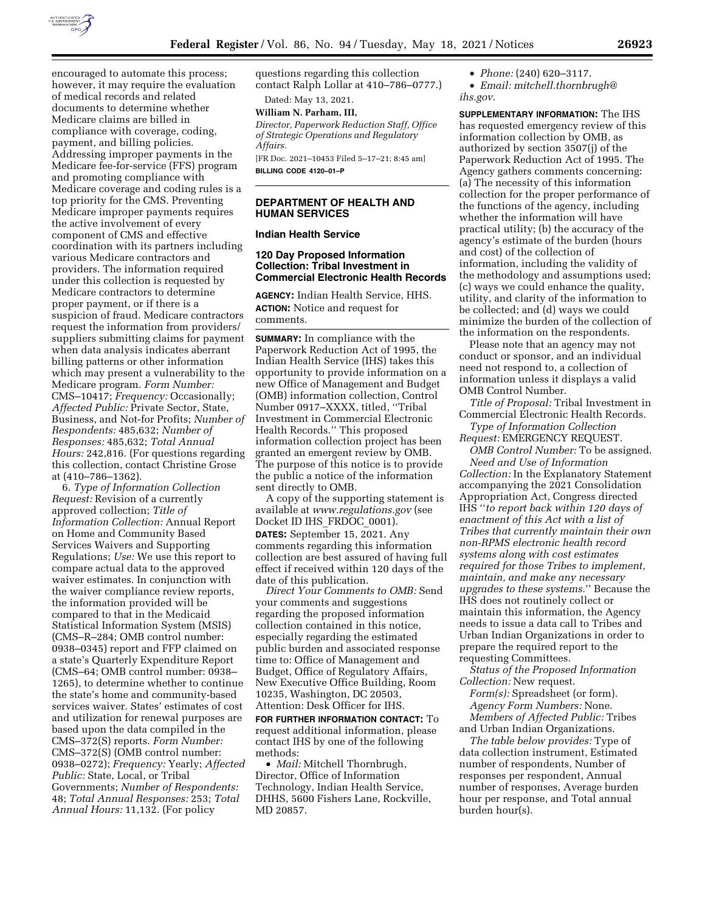

encouraged to automate this process; however, it may require the evaluation of medical records and related documents to determine whether Medicare claims are billed in compliance with coverage, coding, payment, and billing policies. Addressing improper payments in the Medicare fee-for-service (FFS) program and promoting compliance with Medicare coverage and coding rules is a top priority for the CMS. Preventing Medicare improper payments requires the active involvement of every component of CMS and effective coordination with its partners including various Medicare contractors and providers. The information required under this collection is requested by Medicare contractors to determine proper payment, or if there is a suspicion of fraud. Medicare contractors request the information from providers/ suppliers submitting claims for payment when data analysis indicates aberrant billing patterns or other information which may present a vulnerability to the Medicare program. *Form Number:*  CMS–10417; *Frequency:* Occasionally; *Affected Public:* Private Sector, State, Business, and Not-for Profits; *Number of Respondents:* 485,632; *Number of Responses:* 485,632; *Total Annual Hours:* 242,816. (For questions regarding this collection, contact Christine Grose at (410–786–1362).

6. *Type of Information Collection Request:* Revision of a currently approved collection; *Title of Information Collection:* Annual Report on Home and Community Based Services Waivers and Supporting Regulations; *Use:* We use this report to compare actual data to the approved waiver estimates. In conjunction with the waiver compliance review reports, the information provided will be compared to that in the Medicaid Statistical Information System (MSIS) (CMS–R–284; OMB control number: 0938–0345) report and FFP claimed on a state's Quarterly Expenditure Report (CMS–64; OMB control number: 0938– 1265), to determine whether to continue the state's home and community-based services waiver. States' estimates of cost and utilization for renewal purposes are based upon the data compiled in the CMS–372(S) reports. *Form Number:*  CMS–372(S) (OMB control number: 0938–0272); *Frequency:* Yearly; *Affected Public:* State, Local, or Tribal Governments; *Number of Respondents:*  48; *Total Annual Responses:* 253; *Total Annual Hours:* 11,132. (For policy

questions regarding this collection contact Ralph Lollar at 410–786–0777.)

Dated: May 13, 2021.

# **William N. Parham, III,**

*Director, Paperwork Reduction Staff, Office of Strategic Operations and Regulatory Affairs.* 

[FR Doc. 2021–10453 Filed 5–17–21; 8:45 am] **BILLING CODE 4120–01–P** 

### **DEPARTMENT OF HEALTH AND HUMAN SERVICES**

## **Indian Health Service**

### **120 Day Proposed Information Collection: Tribal Investment in Commercial Electronic Health Records**

**AGENCY:** Indian Health Service, HHS. **ACTION:** Notice and request for comments.

**SUMMARY:** In compliance with the Paperwork Reduction Act of 1995, the Indian Health Service (IHS) takes this opportunity to provide information on a new Office of Management and Budget (OMB) information collection, Control Number 0917–XXXX, titled, ''Tribal Investment in Commercial Electronic Health Records.'' This proposed information collection project has been granted an emergent review by OMB. The purpose of this notice is to provide the public a notice of the information sent directly to OMB.

A copy of the supporting statement is available at *[www.regulations.gov](http://www.regulations.gov)* (see Docket ID IHS\_FRDOC\_0001). **DATES:** September 15, 2021. Any comments regarding this information collection are best assured of having full effect if received within 120 days of the date of this publication.

*Direct Your Comments to OMB:* Send your comments and suggestions regarding the proposed information collection contained in this notice, especially regarding the estimated public burden and associated response time to: Office of Management and Budget, Office of Regulatory Affairs, New Executive Office Building, Room 10235, Washington, DC 20503, Attention: Desk Officer for IHS.

**FOR FURTHER INFORMATION CONTACT:** To request additional information, please contact IHS by one of the following methods:

• *Mail:* Mitchell Thornbrugh, Director, Office of Information Technology, Indian Health Service, DHHS, 5600 Fishers Lane, Rockville, MD 20857.

- *Phone:* (240) 620–3117.
- *Email: [mitchell.thornbrugh@](mailto:mitchell.thornbrugh@ihs.gov) [ihs.gov.](mailto:mitchell.thornbrugh@ihs.gov)*

**SUPPLEMENTARY INFORMATION:** The IHS has requested emergency review of this information collection by OMB, as authorized by section 3507(j) of the Paperwork Reduction Act of 1995. The Agency gathers comments concerning: (a) The necessity of this information collection for the proper performance of the functions of the agency, including whether the information will have practical utility; (b) the accuracy of the agency's estimate of the burden (hours and cost) of the collection of information, including the validity of the methodology and assumptions used; (c) ways we could enhance the quality, utility, and clarity of the information to be collected; and (d) ways we could minimize the burden of the collection of the information on the respondents.

Please note that an agency may not conduct or sponsor, and an individual need not respond to, a collection of information unless it displays a valid OMB Control Number.

*Title of Proposal:* Tribal Investment in Commercial Electronic Health Records.

*Type of Information Collection Request:* EMERGENCY REQUEST.

*OMB Control Number:* To be assigned. *Need and Use of Information Collection:* In the Explanatory Statement accompanying the 2021 Consolidation Appropriation Act, Congress directed IHS ''*to report back within 120 days of enactment of this Act with a list of Tribes that currently maintain their own non-RPMS electronic health record systems along with cost estimates required for those Tribes to implement, maintain, and make any necessary upgrades to these systems.*'' Because the IHS does not routinely collect or maintain this information, the Agency needs to issue a data call to Tribes and Urban Indian Organizations in order to prepare the required report to the requesting Committees.

*Status of the Proposed Information Collection:* New request.

*Form(s):* Spreadsheet (or form). *Agency Form Numbers:* None. *Members of Affected Public:* Tribes and Urban Indian Organizations.

*The table below provides:* Type of data collection instrument, Estimated number of respondents, Number of responses per respondent, Annual number of responses, Average burden hour per response, and Total annual burden hour(s).